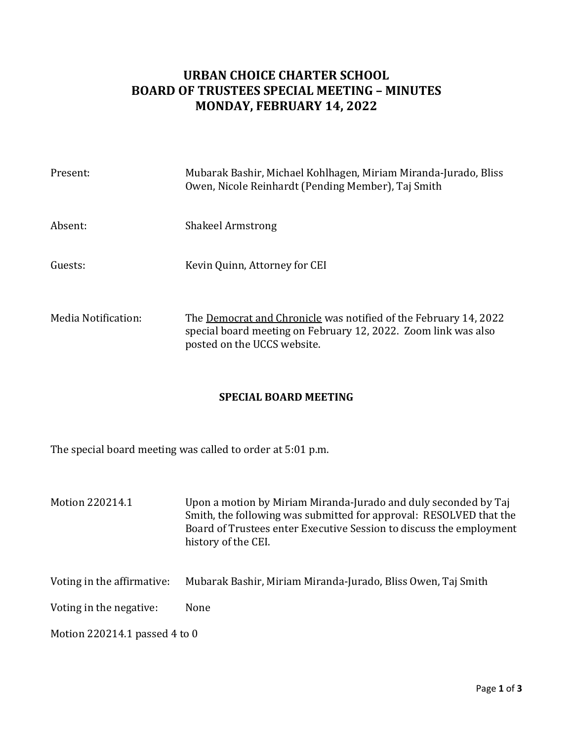## **URBAN CHOICE CHARTER SCHOOL BOARD OF TRUSTEES SPECIAL MEETING – MINUTES MONDAY, FEBRUARY 14, 2022**

| Present:            | Mubarak Bashir, Michael Kohlhagen, Miriam Miranda-Jurado, Bliss<br>Owen, Nicole Reinhardt (Pending Member), Taj Smith                                             |
|---------------------|-------------------------------------------------------------------------------------------------------------------------------------------------------------------|
| Absent:             | <b>Shakeel Armstrong</b>                                                                                                                                          |
| Guests:             | Kevin Quinn, Attorney for CEI                                                                                                                                     |
| Media Notification: | The Democrat and Chronicle was notified of the February 14, 2022<br>special board meeting on February 12, 2022. Zoom link was also<br>posted on the UCCS website. |

## **SPECIAL BOARD MEETING**

The special board meeting was called to order at 5:01 p.m.

- Motion 220214.1 Upon a motion by Miriam Miranda-Jurado and duly seconded by Taj Smith, the following was submitted for approval: RESOLVED that the Board of Trustees enter Executive Session to discuss the employment history of the CEI.
- Voting in the affirmative: Mubarak Bashir, Miriam Miranda-Jurado, Bliss Owen, Taj Smith

Voting in the negative: None

Motion 220214.1 passed 4 to 0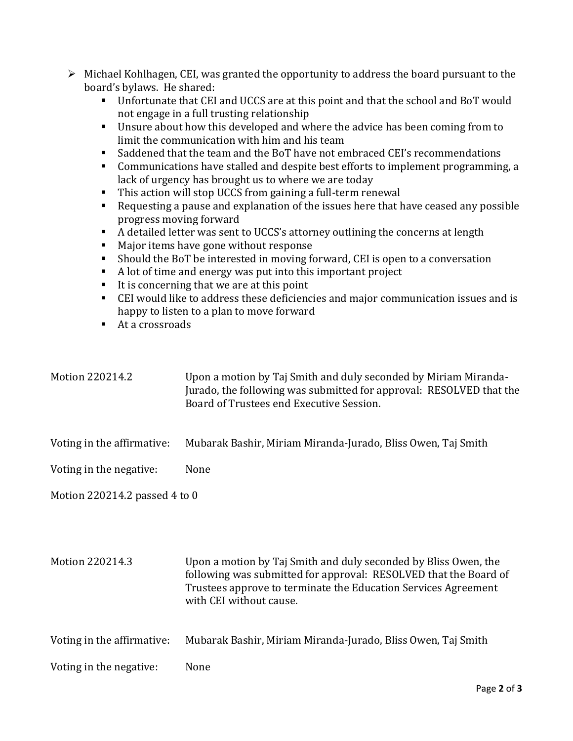| $\triangleright$ Michael Kohlhagen, CEI, was granted the opportunity to address the board pursuant to the |
|-----------------------------------------------------------------------------------------------------------|
| board's bylaws. He shared:                                                                                |

- Unfortunate that CEI and UCCS are at this point and that the school and BoT would not engage in a full trusting relationship
- Unsure about how this developed and where the advice has been coming from to limit the communication with him and his team
- Saddened that the team and the BoT have not embraced CEI's recommendations
- Communications have stalled and despite best efforts to implement programming, a lack of urgency has brought us to where we are today
- This action will stop UCCS from gaining a full-term renewal
- Requesting a pause and explanation of the issues here that have ceased any possible progress moving forward
- A detailed letter was sent to UCCS's attorney outlining the concerns at length
- Major items have gone without response
- Should the BoT be interested in moving forward, CEI is open to a conversation
- A lot of time and energy was put into this important project
- $\blacksquare$  It is concerning that we are at this point
- CEI would like to address these deficiencies and major communication issues and is happy to listen to a plan to move forward
- At a crossroads

| Motion 220214.2               | Upon a motion by Taj Smith and duly seconded by Miriam Miranda-<br>Jurado, the following was submitted for approval: RESOLVED that the<br>Board of Trustees end Executive Session. |  |
|-------------------------------|------------------------------------------------------------------------------------------------------------------------------------------------------------------------------------|--|
| Voting in the affirmative:    | Mubarak Bashir, Miriam Miranda-Jurado, Bliss Owen, Taj Smith                                                                                                                       |  |
| Voting in the negative:       | None                                                                                                                                                                               |  |
| Motion 220214.2 passed 4 to 0 |                                                                                                                                                                                    |  |
|                               |                                                                                                                                                                                    |  |

Motion 220214.3 Upon a motion by Taj Smith and duly seconded by Bliss Owen, the following was submitted for approval: RESOLVED that the Board of Trustees approve to terminate the Education Services Agreement with CEI without cause.

Voting in the affirmative: Mubarak Bashir, Miriam Miranda-Jurado, Bliss Owen, Taj Smith

Voting in the negative: None